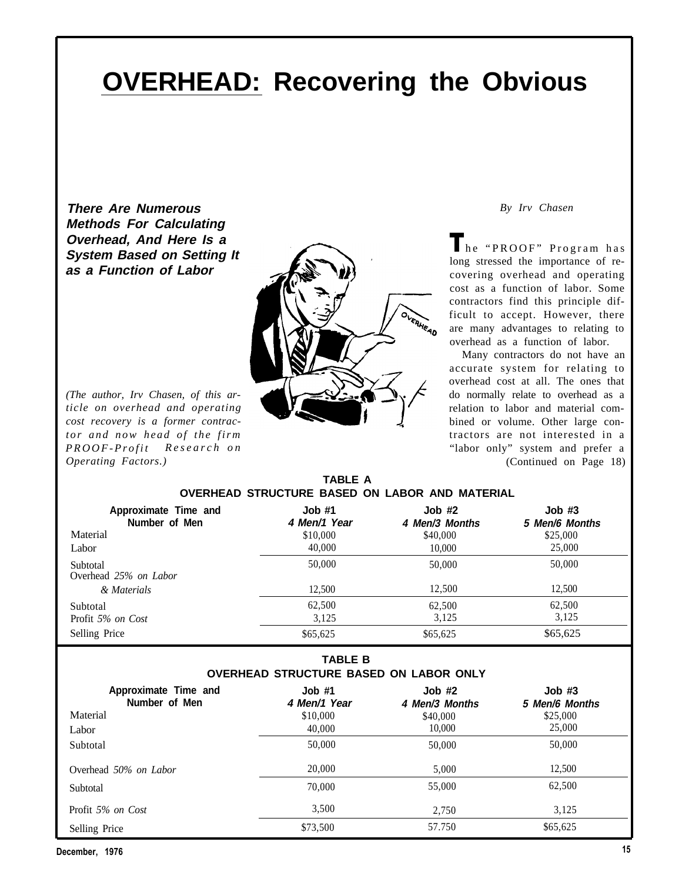# **OVERHEAD: Recovering the Obvious**

**There Are Numerous Methods For Calculating Overhead, And Here Is a System Based on Setting It as a Function of Labor**



*(The author, Irv Chasen, of this article on overhead and operating cost recovery is a former contractor and now head of the firm PROOF-Profit Research on Operating Factors.)*

*By Irv Chasen*

The "PROOF" Program has long stressed the importance of recovering overhead and operating cost as a function of labor. Some contractors find this principle difficult to accept. However, there are many advantages to relating to overhead as a function of labor.

Many contractors do not have an accurate system for relating to overhead cost at all. The ones that do normally relate to overhead as a relation to labor and material combined or volume. Other large contractors are not interested in a "labor only" system and prefer a (Continued on Page 18)

| <b>TABLE A</b> |                                                |  |  |  |  |  |  |  |
|----------------|------------------------------------------------|--|--|--|--|--|--|--|
|                | OVERHEAD STRUCTURE BASED ON LABOR AND MATERIAL |  |  |  |  |  |  |  |

| Approximate Time and<br>Number of Men | Job#1<br>4 Men/1 Year | $Job$ #2<br>4 Men/3 Months | $Job$ #3<br>5 Men/6 Months |
|---------------------------------------|-----------------------|----------------------------|----------------------------|
| Material                              | \$10,000              | \$40,000                   | \$25,000                   |
| Labor                                 | 40,000                | 10.000                     | 25,000                     |
| Subtotal<br>Overhead 25% on Labor     | 50,000                | 50,000                     | 50,000                     |
| & Materials                           | 12.500                | 12.500                     | 12.500                     |
| Subtotal                              | 62,500                | 62,500                     | 62,500                     |
| Profit 5% on Cost                     | 3.125                 | 3.125                      | 3,125                      |
| Selling Price                         | \$65,625              | \$65,625                   | \$65,625                   |

#### **TABLE B OVERHEAD STRUCTURE BASED ON LABOR ONLY**

| Approximate Time and<br>Number of Men | $Job$ #1<br>4 Men/1 Year | $Job$ #2<br>4 Men/3 Months | $Job$ #3<br>5 Men/6 Months |
|---------------------------------------|--------------------------|----------------------------|----------------------------|
| Material                              | \$10,000                 | \$40,000                   | \$25,000                   |
| Labor                                 | 40,000                   | 10,000                     | 25,000                     |
| Subtotal                              | 50,000                   | 50,000                     | 50,000                     |
| Overhead 50% on Labor                 | 20,000                   | 5.000                      | 12,500                     |
| Subtotal                              | 70,000                   | 55,000                     | 62,500                     |
| Profit 5% on Cost                     | 3,500                    | 2.750                      | 3,125                      |
| Selling Price                         | \$73,500                 | 57.750                     | \$65,625                   |

December, 1976 15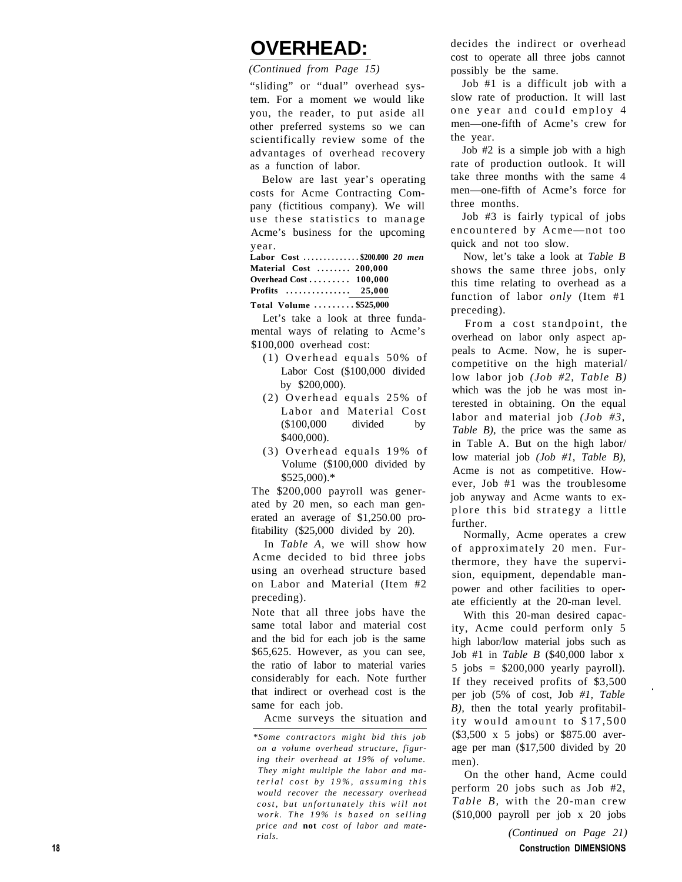### **OVERHEAD:**

*(Continued from Page 15)*

"sliding" or "dual" overhead system. For a moment we would like you, the reader, to put aside all other preferred systems so we can scientifically review some of the advantages of overhead recovery as a function of labor.

Below are last year's operating costs for Acme Contracting Company (fictitious company). We will use these statistics to manage Acme's business for the upcoming year.

**Labor Cost . . . . . . . . . . . . . . \$200.000** *20 men* **Material Cost . . . . . . . . 200,000 Overhead Cost . . . . . . . . . 100,000 Profits . . . . . . . . . . . . . . . 25,000**

**Total Volume . . . . . . . . . \$525,000**

Let's take a look at three fundamental ways of relating to Acme's \$100,000 overhead cost:

- (1) Overhead equals 50% of Labor Cost (\$100,000 divided by \$200,000).
- (2) Overhead equals 25% of Labor and Material Cost (\$100,000 divided by \$400,000).
- (3) Overhead equals 19% of Volume (\$100,000 divided by \$525,000).\*

The \$200,000 payroll was generated by 20 men, so each man generated an average of \$1,250.00 profitability (\$25,000 divided by 20).

In *Table A,* we will show how Acme decided to bid three jobs using an overhead structure based on Labor and Material (Item #2 preceding).

Note that all three jobs have the same total labor and material cost and the bid for each job is the same \$65,625. However, as you can see, the ratio of labor to material varies considerably for each. Note further that indirect or overhead cost is the same for each job.

Acme surveys the situation and

decides the indirect or overhead cost to operate all three jobs cannot possibly be the same.

Job #1 is a difficult job with a slow rate of production. It will last one year and could employ 4 men—one-fifth of Acme's crew for the year.

Job #2 is a simple job with a high rate of production outlook. It will take three months with the same 4 men—one-fifth of Acme's force for three months.

Job #3 is fairly typical of jobs encountered by Acme—not too quick and not too slow.

Now, let's take a look at *Table B* shows the same three jobs, only this time relating to overhead as a function of labor *only* (Item #1 preceding).

From a cost standpoint, the overhead on labor only aspect appeals to Acme. Now, he is supercompetitive on the high material/ low labor job *(Job #2, Table B)* which was the job he was most interested in obtaining. On the equal labor and material job *(Job #3, Table B)*, the price was the same as in Table A. But on the high labor/ low material job *(Job #1, Table B),* Acme is not as competitive. However, Job #1 was the troublesome job anyway and Acme wants to explore this bid strategy a little further.

Normally, Acme operates a crew of approximately 20 men. Furthermore, they have the supervision, equipment, dependable manpower and other facilities to operate efficiently at the 20-man level.

With this 20-man desired capacity, Acme could perform only 5 high labor/low material jobs such as Job #1 in *Table B* (\$40,000 labor x  $5$  jobs =  $$200,000$  yearly payroll). If they received profits of \$3,500 per job (5% of cost, Job *#1, Table B),* then the total yearly profitability would amount to \$17,500 (\$3,500 x 5 jobs) or \$875.00 average per man (\$17,500 divided by 20 men).

On the other hand, Acme could perform 20 jobs such as Job #2, *Table B,* with the 20-man crew (\$10,000 payroll per job x 20 jobs

> *(Continued on Page 21)* Construction DIMENSIONS

*<sup>\*</sup>Some contractors might bid this job on a volume overhead structure, figuring their overhead at 19% of volume. They might multiple the labor and material cost by 19%, assuming this would recover the necessary overhead cost, but unfortunately this will not work. The 19% is based on selling price and* **not** *cost of labor and materials.*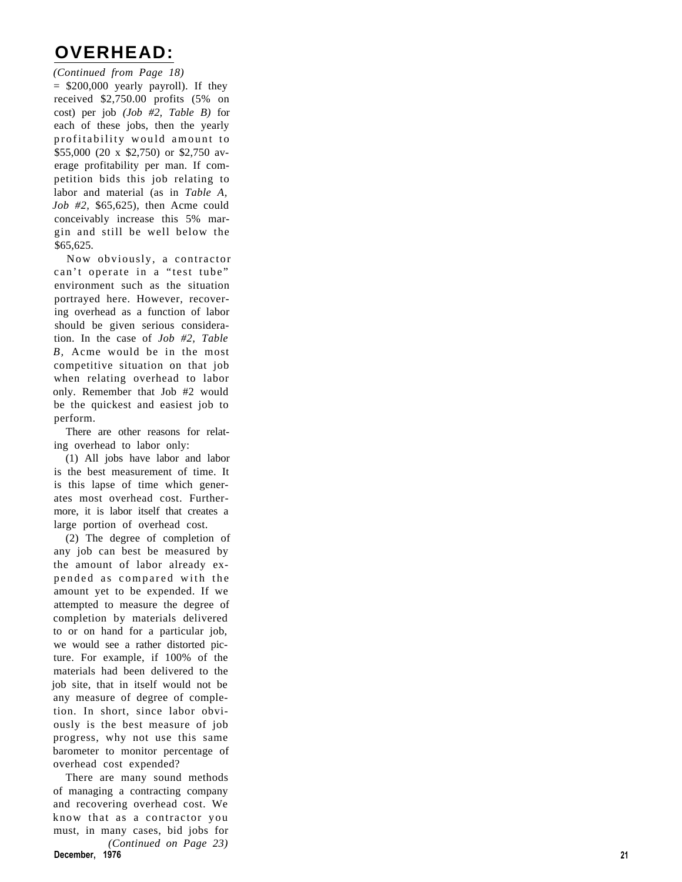#### **OVERHEAD:**

*(Continued from Page 18)*  $=$  \$200,000 yearly payroll). If they received \$2,750.00 profits (5% on cost) per job *(Job #2, Table B)* for each of these jobs, then the yearly profitability would amount to \$55,000 (20 x \$2,750) or \$2,750 average profitability per man. If competition bids this job relating to labor and material (as in *Table A, Job #2,* \$65,625), then Acme could conceivably increase this 5% margin and still be well below the \$65,625.

Now obviously, a contractor can't operate in a "test tube" environment such as the situation portrayed here. However, recovering overhead as a function of labor should be given serious consideration. In the case of *Job #2, Table B,* Acme would be in the most competitive situation on that job when relating overhead to labor only. Remember that Job #2 would be the quickest and easiest job to perform.

There are other reasons for relating overhead to labor only:

(1) All jobs have labor and labor is the best measurement of time. It is this lapse of time which generates most overhead cost. Furthermore, it is labor itself that creates a large portion of overhead cost.

(2) The degree of completion of any job can best be measured by the amount of labor already expended as compared with the amount yet to be expended. If we attempted to measure the degree of completion by materials delivered to or on hand for a particular job, we would see a rather distorted picture. For example, if 100% of the materials had been delivered to the job site, that in itself would not be any measure of degree of completion. In short, since labor obviously is the best measure of job progress, why not use this same barometer to monitor percentage of overhead cost expended?

There are many sound methods of managing a contracting company and recovering overhead cost. We know that as a contractor you must, in many cases, bid jobs for *(Continued on Page 23)* **December, 1976** 21